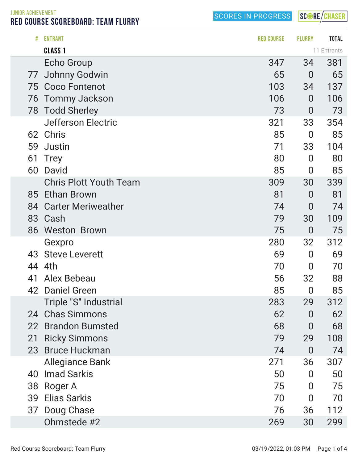SCORES IN PROGRESS

SCORE/CHASER

RED COURSE SCOREBOARD: TEAM FLURRY

|                                    | <b>Jefferson Electric</b>     | 321                  | 33             | 354         |
|------------------------------------|-------------------------------|----------------------|----------------|-------------|
|                                    | 62 Chris                      | 85                   | $\bf{0}$       | 85          |
| 59                                 | Justin                        | 71                   | 33             | 104         |
| 61                                 | <b>Trey</b>                   | 80                   | $\overline{0}$ | 80          |
| 60                                 | David                         | 85                   | $\bf{0}$       | 85          |
|                                    | <b>Chris Plott Youth Team</b> | 309                  | 30             | 339         |
|                                    | 85 Ethan Brown                | 81                   | $\overline{0}$ | 81          |
| 84                                 | <b>Carter Meriweather</b>     | 74                   | $\bf{0}$       | 74          |
|                                    | 83 Cash                       | 79                   | 30             | 109         |
|                                    | 86 Weston Brown               | 75                   | $\overline{0}$ | 75          |
|                                    | Gexpro                        | 280                  | 32             | 312         |
|                                    | 43 Steve Leverett             | 69                   | $\overline{0}$ | 69          |
| 44                                 | 4th                           | 70                   | $\overline{0}$ | 70          |
| 41                                 | Alex Bebeau                   | 56                   | 32             | 88          |
|                                    | 42 Daniel Green               | 85                   | $\bf{0}$       | 85          |
|                                    | Triple "S" Industrial         | 283                  | 29             | 312         |
| 24                                 | <b>Chas Simmons</b>           | 62                   | $\overline{0}$ | 62          |
| 22                                 | <b>Brandon Bumsted</b>        | 68                   | $\overline{0}$ | 68          |
| 21                                 | <b>Ricky Simmons</b>          | 79                   | 29             | 108         |
| 23                                 | <b>Bruce Huckman</b>          | 74                   | $\overline{0}$ | 74          |
|                                    | <b>Allegiance Bank</b>        | 271                  | 36             | 307         |
| 40                                 | <b>Imad Sarkis</b>            | 50                   | $\overline{0}$ | 50          |
|                                    | 38 Roger A                    | 75                   | 0              | 75          |
| 39                                 | <b>Elias Sarkis</b>           | 70                   | $\overline{0}$ | 70          |
|                                    | 37 Doug Chase                 | 76                   | 36             | 112         |
|                                    | Ohmstede #2                   | 269                  | 30             | 299         |
|                                    |                               |                      |                |             |
| Red Course Scoreboard: Team Flurry |                               | 03/19/2022, 01:03 PM |                | Page 1 of 4 |
|                                    |                               |                      |                |             |

# ENTRANT RED COURSE FLURRY TOTAL

 Johnny Godwin 65 0 65 Coco Fontenot 103 34 137

Tommy Jackson 106 0 106

Todd Sherley 73 0 73

**CLASS 1** 11 Entrants Echo Group 347 381

JUNIOR ACHIEVEMENT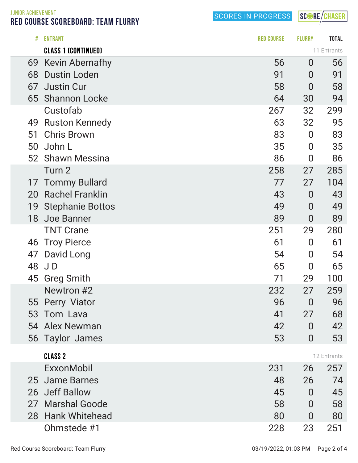SCORES IN PROGRESS

SCORE/CHASER

JUNIOR ACHIEVEMENT RED COURSE SCOREBOARD: TEAM FLURRY

| #  | <b>ENTRANT</b>             | <b>RED COURSE</b> | <b>FLURRY</b>    | <b>TOTAL</b> |
|----|----------------------------|-------------------|------------------|--------------|
|    | <b>CLASS 1 (CONTINUED)</b> |                   |                  | 11 Entrants  |
| 69 | <b>Kevin Abernafhy</b>     | 56                | $\bf{0}$         | 56           |
| 68 | <b>Dustin Loden</b>        | 91                | $\overline{0}$   | 91           |
| 67 | <b>Justin Cur</b>          | 58                | 0                | 58           |
|    | 65 Shannon Locke           | 64                | 30               | 94           |
|    | Custofab                   | 267               | 32               | 299          |
| 49 | <b>Ruston Kennedy</b>      | 63                | 32               | 95           |
| 51 | <b>Chris Brown</b>         | 83                | $\boldsymbol{0}$ | 83           |
| 50 | John L                     | 35                | $\bf{0}$         | 35           |
|    | 52 Shawn Messina           | 86                | $\overline{0}$   | 86           |
|    | Turn 2                     | 258               | 27               | 285          |
| 17 | <b>Tommy Bullard</b>       | 77                | 27               | 104          |
| 20 | <b>Rachel Franklin</b>     | 43                | $\bf{0}$         | 43           |
| 19 | <b>Stephanie Bottos</b>    | 49                | $\bf{0}$         | 49           |
| 18 | Joe Banner                 | 89                | $\overline{0}$   | 89           |
|    | <b>TNT Crane</b>           | 251               | 29               | 280          |
| 46 | <b>Troy Pierce</b>         | 61                | 0                | 61           |
| 47 | David Long                 | 54                | 0                | 54           |
|    | 48 JD                      | 65                | $\overline{0}$   | 65           |
| 45 | <b>Greg Smith</b>          | 71                | 29               | 100          |
|    | Newtron #2                 | 232               | 27               | 259          |
|    | 55 Perry Viator            | 96                | $\overline{0}$   | 96           |
|    | 53 Tom Lava                | 41                | 27               | 68           |
|    | 54 Alex Newman             | 42                | $\overline{0}$   | 42           |
|    | 56 Taylor James            | 53                | $\overline{0}$   | 53           |
|    | <b>CLASS 2</b>             |                   |                  | 12 Entrants  |
|    | ExxonMobil                 | 231               | 26               | 257          |
|    | 25 Jame Barnes             | 48                | 26               | 74           |
|    | 26 Jeff Ballow             | 45                | 0                | 45           |
|    | 27 Marshal Goode           | 58                | $\overline{0}$   | 58           |
|    | 28 Hank Whitehead          | 80                | 0                | 80           |
|    | Ohmstede #1                | 228               | 23               | 251          |
|    |                            |                   |                  |              |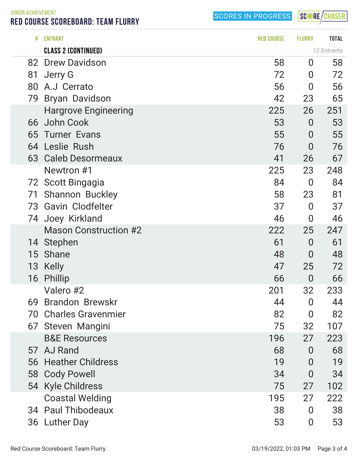JUNIOR ACHIEVEMENT RED COURSE SCOREBOARD: TEAM FLURRY

SCORES IN PROGRESS

SCORE/CHASER

| #  | <b>ENTRANT</b>               | <b>RED COURSE</b> | <b>FLURRY</b>    | <b>TOTAL</b> |
|----|------------------------------|-------------------|------------------|--------------|
|    | <b>CLASS 2 (CONTINUED)</b>   |                   |                  | 12 Entrants  |
| 82 | <b>Drew Davidson</b>         | 58                | $\overline{0}$   | 58           |
| 81 | Jerry G                      | 72                | 0                | 72           |
| 80 | A.J Cerrato                  | 56                | $\bf{0}$         | 56           |
| 79 | <b>Bryan Davidson</b>        | 42                | 23               | 65           |
|    | <b>Hargrove Engineering</b>  | 225               | 26               | 251          |
|    | 66 John Cook                 | 53                | $\overline{0}$   | 53           |
|    | 65 Turner Evans              | 55                | $\bf{0}$         | 55           |
|    | 64 Leslie Rush               | 76                | $\overline{0}$   | 76           |
|    | 63 Caleb Desormeaux          | 41                | 26               | 67           |
|    | Newtron #1                   | 225               | 23               | 248          |
|    | 72 Scott Bingagia            | 84                | $\overline{0}$   | 84           |
| 71 | <b>Shannon Buckley</b>       | 58                | 23               | 81           |
|    | 73 Gavin Clodfelter          | 37                | $\overline{0}$   | 37           |
|    | 74 Joey Kirkland             | 46                | $\boldsymbol{0}$ | 46           |
|    | <b>Mason Construction #2</b> | 222               | 25               | 247          |
|    | 14 Stephen                   | 61                | $\overline{0}$   | 61           |
| 15 | <b>Shane</b>                 | 48                | $\overline{0}$   | 48           |
|    | 13 Kelly                     | 47                | 25               | 72           |
| 16 | <b>Phillip</b>               | 66                | $\mathbf 0$      | 66           |
|    | Valero #2                    | 201               | 32               | 233          |
| 69 | <b>Brandon Brewskr</b>       | 44                | $\overline{0}$   | 44           |
| 70 | <b>Charles Gravenmier</b>    | 82                | $\overline{0}$   | 82           |
|    | 67 Steven Mangini            | 75                | 32               | 107          |
|    | <b>B&amp;E Resources</b>     | 196               | 27               | 223          |
|    | 57 AJ Rand                   | 68                | $\overline{0}$   | 68           |
|    | 56 Heather Childress         | 19                | $\overline{0}$   | 19           |
| 58 | <b>Cody Powell</b>           | 34                | $\overline{0}$   | 34           |
|    | 54 Kyle Childress            | 75                | 27               | 102          |
|    | <b>Coastal Welding</b>       | 195               | 27               | 222          |
|    | 34 Paul Thibodeaux           | 38                | $\overline{0}$   | 38           |
|    | 36 Luther Day                | 53                | $\bf{0}$         | 53           |